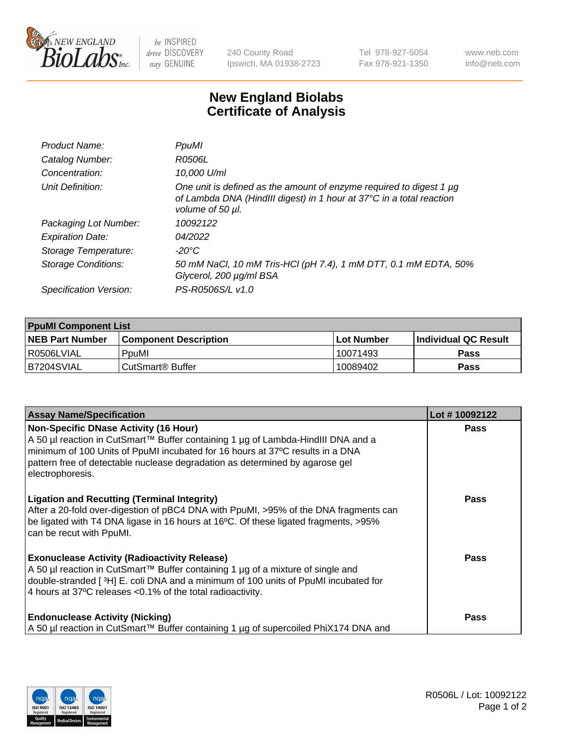

 $be$  INSPIRED drive DISCOVERY stay GENUINE

240 County Road Ipswich, MA 01938-2723 Tel 978-927-5054 Fax 978-921-1350 www.neb.com info@neb.com

## **New England Biolabs Certificate of Analysis**

| Product Name:           | PpuMI                                                                                                                                                                |
|-------------------------|----------------------------------------------------------------------------------------------------------------------------------------------------------------------|
| Catalog Number:         | R0506L                                                                                                                                                               |
| Concentration:          | 10,000 U/ml                                                                                                                                                          |
| Unit Definition:        | One unit is defined as the amount of enzyme required to digest 1 $\mu$ g<br>of Lambda DNA (HindIII digest) in 1 hour at 37°C in a total reaction<br>volume of 50 µl. |
| Packaging Lot Number:   | 10092122                                                                                                                                                             |
| <b>Expiration Date:</b> | 04/2022                                                                                                                                                              |
| Storage Temperature:    | -20°C                                                                                                                                                                |
| Storage Conditions:     | 50 mM NaCl, 10 mM Tris-HCl (pH 7.4), 1 mM DTT, 0.1 mM EDTA, 50%<br>Glycerol, 200 µg/ml BSA                                                                           |
| Specification Version:  | PS-R0506S/L v1.0                                                                                                                                                     |

| <b>PpuMI Component List</b> |                              |            |                       |  |  |
|-----------------------------|------------------------------|------------|-----------------------|--|--|
| <b>NEB Part Number</b>      | <b>Component Description</b> | Lot Number | ∣Individual QC Result |  |  |
| R0506LVIAL                  | PpuMI                        | 10071493   | <b>Pass</b>           |  |  |
| IB7204SVIAL                 | l CutSmart® Buffer           | 10089402   | <b>Pass</b>           |  |  |

| <b>Assay Name/Specification</b>                                                                                                                                                                                                                                                                                       | Lot #10092122 |
|-----------------------------------------------------------------------------------------------------------------------------------------------------------------------------------------------------------------------------------------------------------------------------------------------------------------------|---------------|
| <b>Non-Specific DNase Activity (16 Hour)</b><br>A 50 µl reaction in CutSmart™ Buffer containing 1 µg of Lambda-HindIII DNA and a<br>minimum of 100 Units of PpuMI incubated for 16 hours at 37°C results in a DNA<br>pattern free of detectable nuclease degradation as determined by agarose gel<br>electrophoresis. | <b>Pass</b>   |
| <b>Ligation and Recutting (Terminal Integrity)</b><br>After a 20-fold over-digestion of pBC4 DNA with PpuMI, >95% of the DNA fragments can<br>be ligated with T4 DNA ligase in 16 hours at 16°C. Of these ligated fragments, >95%<br>can be recut with PpuMI.                                                         | Pass          |
| <b>Exonuclease Activity (Radioactivity Release)</b><br>  A 50 µl reaction in CutSmart™ Buffer containing 1 µg of a mixture of single and<br>double-stranded [3H] E. coli DNA and a minimum of 100 units of PpuMI incubated for<br>4 hours at 37°C releases < 0.1% of the total radioactivity.                         | Pass          |
| <b>Endonuclease Activity (Nicking)</b><br>A 50 µl reaction in CutSmart™ Buffer containing 1 µg of supercoiled PhiX174 DNA and                                                                                                                                                                                         | Pass          |